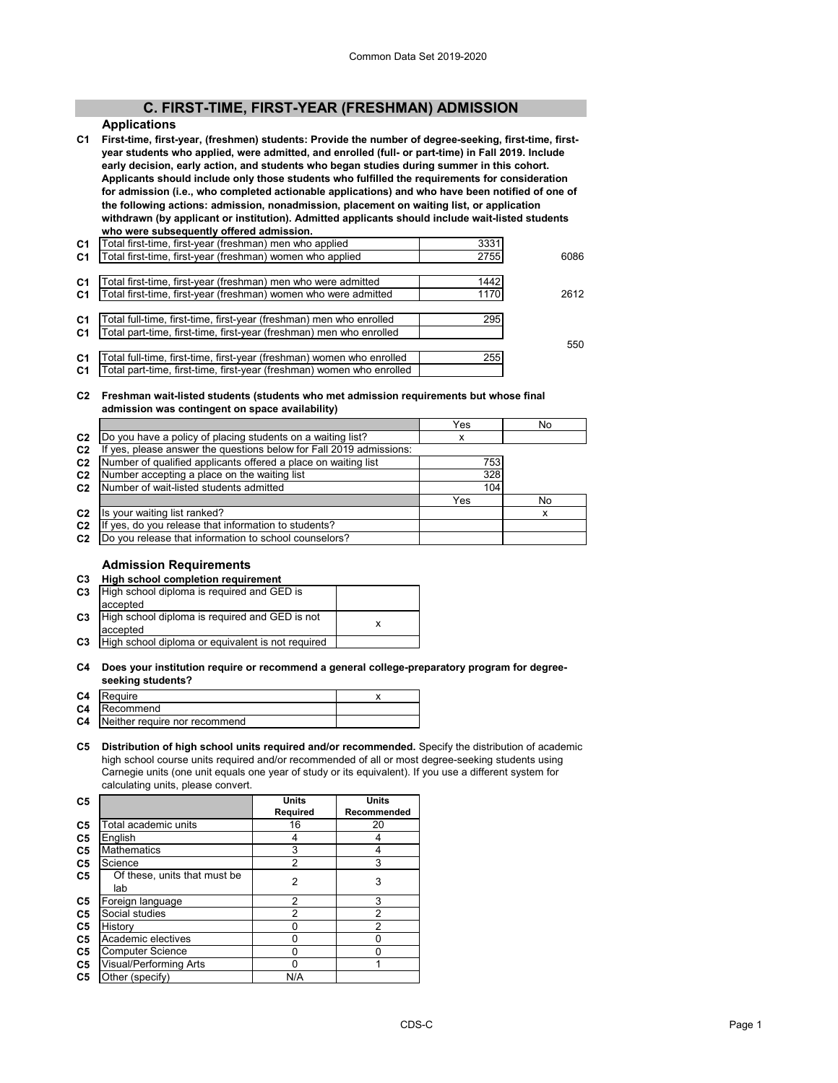# **C. FIRST-TIME, FIRST-YEAR (FRESHMAN) ADMISSION**

#### **Applications**

**C1 First-time, first-year, (freshmen) students: Provide the number of degree-seeking, first-time, firstyear students who applied, were admitted, and enrolled (full- or part-time) in Fall 2019. Include early decision, early action, and students who began studies during summer in this cohort. Applicants should include only those students who fulfilled the requirements for consideration for admission (i.e., who completed actionable applications) and who have been notified of one of the following actions: admission, nonadmission, placement on waiting list, or application withdrawn (by applicant or institution). Admitted applicants should include wait-listed students who were subsequently offered admission.**

| C1             | l otal first-time, first-year (freshman) men who applied              | 3331 |      |
|----------------|-----------------------------------------------------------------------|------|------|
| C <sub>1</sub> | Total first-time, first-year (freshman) women who applied             | 2755 | 6086 |
|                |                                                                       |      |      |
| C1             | Total first-time, first-year (freshman) men who were admitted         | 1442 |      |
| C <sub>1</sub> | Total first-time, first-year (freshman) women who were admitted       | 1170 | 2612 |
|                |                                                                       |      |      |
| C <sub>1</sub> | Total full-time, first-time, first-year (freshman) men who enrolled   | 295  |      |
| C <sub>1</sub> | Total part-time, first-time, first-year (freshman) men who enrolled   |      |      |
|                |                                                                       |      | 550  |
| C <sub>1</sub> | Total full-time, first-time, first-year (freshman) women who enrolled | 255  |      |
| C <sub>1</sub> | Total part-time, first-time, first-year (freshman) women who enrolled |      |      |
|                |                                                                       |      |      |

#### **C2 Freshman wait-listed students (students who met admission requirements but whose final admission was contingent on space availability)**

|                |                                                                  | Yes | No |
|----------------|------------------------------------------------------------------|-----|----|
| C <sub>2</sub> | Do you have a policy of placing students on a waiting list?      | x   |    |
| C <sub>2</sub> | yes, please answer the questions below for Fall 2019 admissions: |     |    |
| C <sub>2</sub> | Number of qualified applicants offered a place on waiting list   | 753 |    |
| C <sub>2</sub> | Number accepting a place on the waiting list                     | 328 |    |
| C <sub>2</sub> | Number of wait-listed students admitted                          | 104 |    |
|                |                                                                  | Yes | No |
| C <sub>2</sub> | Is your waiting list ranked?                                     |     |    |
| C <sub>2</sub> | yes, do you release that information to students?                |     |    |
| C <sub>2</sub> | Do you release that information to school counselors?            |     |    |
|                |                                                                  |     |    |

#### **Admission Requirements**

| C3 |  | High school completion requirement |  |
|----|--|------------------------------------|--|
|    |  |                                    |  |

| C <sub>3</sub> | High school diploma is required and GED is<br>accepted     |  |
|----------------|------------------------------------------------------------|--|
| C <sub>3</sub> | High school diploma is required and GED is not<br>accepted |  |
| C <sub>3</sub> | High school diploma or equivalent is not required          |  |
|                |                                                            |  |

#### **C4 Does your institution require or recommend a general college-preparatory program for degreeseeking students?**

| C4 | Require                                 |  |
|----|-----------------------------------------|--|
|    | <b>C4</b> Recommend                     |  |
|    | <b>C4</b> Neither require nor recommend |  |

**C5 Distribution of high school units required and/or recommended.** Specify the distribution of academic high school course units required and/or recommended of all or most degree-seeking students using Carnegie units (one unit equals one year of study or its equivalent). If you use a different system for calculating units, please convert.

| C5             |                                     | Units          | Units          |
|----------------|-------------------------------------|----------------|----------------|
|                |                                     | Required       | Recommended    |
| C <sub>5</sub> | Total academic units                | 16             | 20             |
| C <sub>5</sub> | English                             |                |                |
| C5             | <b>Mathematics</b>                  | 3              | 4              |
| C <sub>5</sub> | Science                             | $\overline{2}$ | 3              |
| C5             | Of these, units that must be<br>lab | 2              | 3              |
| C <sub>5</sub> | Foreign language                    | 2              | 3              |
| C <sub>5</sub> | Social studies                      | $\overline{2}$ | $\overline{2}$ |
| C5             | History                             | 0              | $\overline{2}$ |
| C <sub>5</sub> | Academic electives                  | U              | U              |
| C5             | <b>Computer Science</b>             | U              | U              |
| C5             | Visual/Performing Arts              | U              |                |
| C <sub>5</sub> | Other (specify)                     | N/A            |                |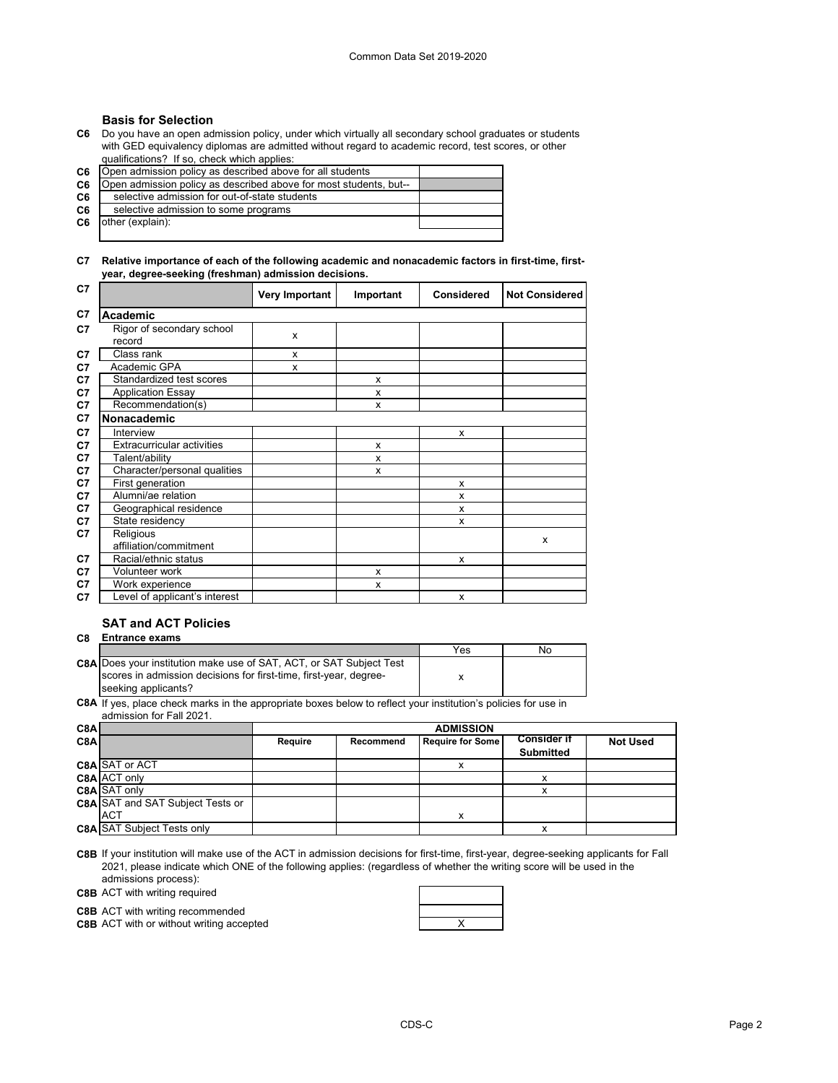## **Basis for Selection**

**C6** Do you have an open admission policy, under which virtually all secondary school graduates or students with GED equivalency diplomas are admitted without regard to academic record, test scores, or other qualifications? If so, check which applies:

| C6.            | [Open admission policy as described above for all students]       |  |
|----------------|-------------------------------------------------------------------|--|
| C <sub>6</sub> | Open admission policy as described above for most students, but-- |  |
| C6             | selective admission for out-of-state students                     |  |
| C6             | selective admission to some programs                              |  |
| C6             | other (explain):                                                  |  |
|                |                                                                   |  |

#### **C7 Relative importance of each of the following academic and nonacademic factors in first-time, firstyear, degree-seeking (freshman) admission decisions.**

| C7 |                                     | <b>Very Important</b> | Important | <b>Considered</b> | <b>Not Considered</b> |
|----|-------------------------------------|-----------------------|-----------|-------------------|-----------------------|
| C7 | Academic                            |                       |           |                   |                       |
| C7 | Rigor of secondary school<br>record | X                     |           |                   |                       |
| C7 | Class rank                          | x                     |           |                   |                       |
| C7 | Academic GPA                        | x                     |           |                   |                       |
| C7 | Standardized test scores            |                       | X         |                   |                       |
| C7 | <b>Application Essay</b>            |                       | X         |                   |                       |
| C7 | Recommendation(s)                   |                       | X         |                   |                       |
| C7 | Nonacademic                         |                       |           |                   |                       |
| C7 | Interview                           |                       |           | X                 |                       |
| C7 | <b>Extracurricular activities</b>   |                       | X         |                   |                       |
| C7 | Talent/ability                      |                       | X         |                   |                       |
| C7 | Character/personal qualities        |                       | X         |                   |                       |
| C7 | First generation                    |                       |           | X                 |                       |
| C7 | Alumni/ae relation                  |                       |           | X                 |                       |
| C7 | Geographical residence              |                       |           | x                 |                       |
| C7 | State residency                     |                       |           | x                 |                       |
| C7 | Religious                           |                       |           |                   | X                     |
|    | affiliation/commitment              |                       |           |                   |                       |
| C7 | Racial/ethnic status                |                       |           | x                 |                       |
| C7 | Volunteer work                      |                       | X         |                   |                       |
| C7 | Work experience                     |                       | X         |                   |                       |
| C7 | Level of applicant's interest       |                       |           | X                 |                       |

# **SAT and ACT Policies**

#### **C8 Entrance exams**

|                                                                            | Yes | No |
|----------------------------------------------------------------------------|-----|----|
| <b>C8A Does your institution make use of SAT, ACT, or SAT Subject Test</b> |     |    |
| scores in admission decisions for first-time, first-year, degree-          |     |    |
| seeking applicants?                                                        |     |    |

**C8A** If yes, place check marks in the appropriate boxes below to reflect your institution's policies for use in admission for Fall 2021.

| C8Al             |                                         |         | <b>ADMISSION</b> |                         |                                        |                 |
|------------------|-----------------------------------------|---------|------------------|-------------------------|----------------------------------------|-----------------|
| C <sub>8</sub> A |                                         | Require | Recommend        | <b>Require for Some</b> | <b>Consider if</b><br><b>Submitted</b> | <b>Not Used</b> |
|                  | <b>C8A SAT or ACT</b>                   |         |                  | x                       |                                        |                 |
|                  | C8A ACT only                            |         |                  |                         | x                                      |                 |
|                  | C8A SAT only                            |         |                  |                         | x                                      |                 |
|                  | <b>C8A SAT and SAT Subject Tests or</b> |         |                  |                         |                                        |                 |
|                  | <b>ACT</b>                              |         |                  | x                       |                                        |                 |
|                  | <b>C8A SAT Subject Tests only</b>       |         |                  |                         | х                                      |                 |

**C8B** If your institution will make use of the ACT in admission decisions for first-time, first-year, degree-seeking applicants for Fall 2021, please indicate which ONE of the following applies: (regardless of whether the writing score will be used in the admissions process):

**C8B** ACT with writing required

**C8B** ACT with writing recommended

**C8B** ACT with or without writing accepted **ACT ACCES ACT ACCES ACCES ACCES ACCES ACCES ACCES ACCES ACCES ACCES ACCES ACCES ACCES ACCES ACCES ACCES ACCES ACCES** 

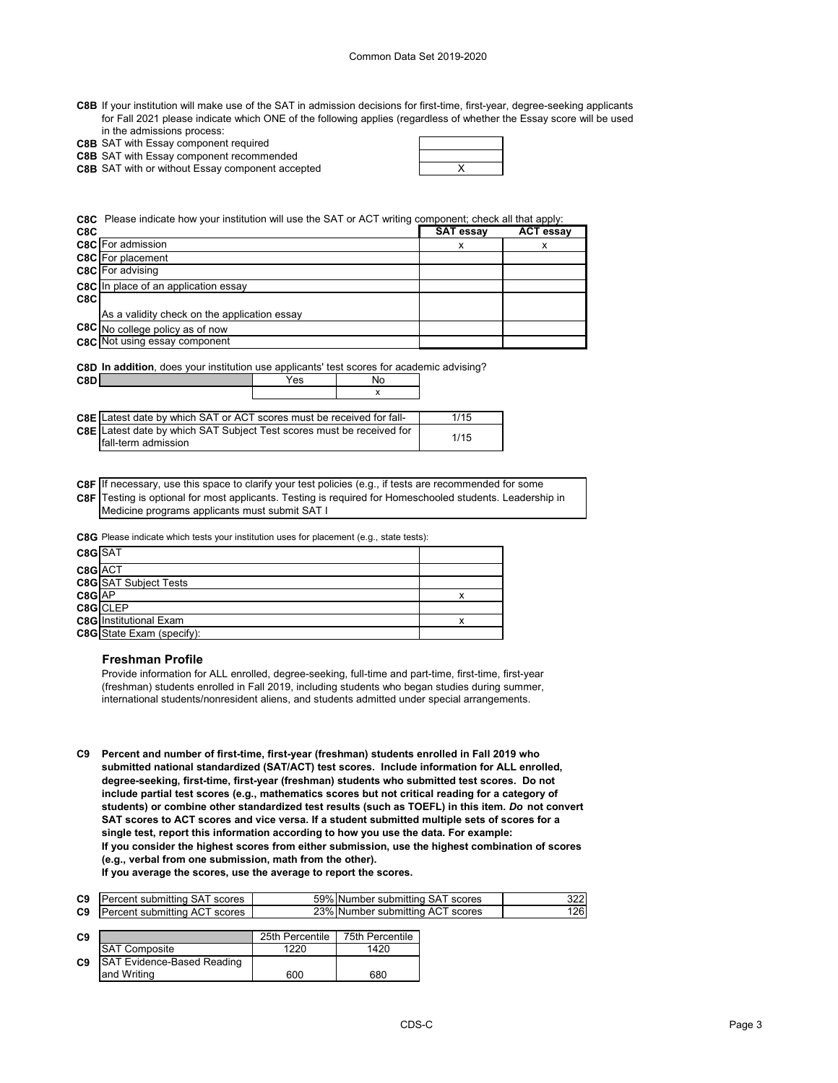- **C8B** If your institution will make use of the SAT in admission decisions for first-time, first-year, degree-seeking applicants for Fall 2021 please indicate which ONE of the following applies (regardless of whether the Essay score will be used in the admissions process:
- **C8B** SAT with Essay component required

**C8B** SAT with Essay component recommended

**C8B** X SAT with or without Essay component accepted

**C8C** Please indicate how your institution will use the SAT or ACT writing component; check all that apply:

| C8C |                                              | <b>SAT essay</b> | <b>ACT essay</b> |
|-----|----------------------------------------------|------------------|------------------|
|     | <b>C8C</b> For admission                     | х                | х                |
|     | <b>C8C</b> For placement                     |                  |                  |
|     | <b>C8C</b> For advising                      |                  |                  |
|     | <b>C8C</b> In place of an application essay  |                  |                  |
| C8C |                                              |                  |                  |
|     | As a validity check on the application essay |                  |                  |
|     | C8C No college policy as of now              |                  |                  |
|     | <b>C8C</b> Not using essay component         |                  |                  |

| <b>C8D In addition</b> , does your institution use applicants' test scores for academic advising? |     |    |  |
|---------------------------------------------------------------------------------------------------|-----|----|--|
| C8D                                                                                               | Yes | N٥ |  |

| C8D                                                                     | res |  |
|-------------------------------------------------------------------------|-----|--|
|                                                                         |     |  |
|                                                                         |     |  |
| CBE II atest date by which SAT or ACT scores must be received for fall- |     |  |

| <b>C8E</b> Latest date by which SAT Subject Test scores must be received for<br>1/15 | <b>C8E</b> Latest date by which SAT or ACT scores must be received for fall- | 1/15 |
|--------------------------------------------------------------------------------------|------------------------------------------------------------------------------|------|
|                                                                                      | Ifall-term admission                                                         |      |

**C8F** If necessary, use this space to clarify your test policies (e.g., if tests are recommended for some **C8F** Testing is optional for most applicants. Testing is required for Homeschooled students. Leadership in Medicine programs applicants must submit SAT I

**C8G** Please indicate which tests your institution uses for placement (e.g., state tests):

| C8G SAT                          |          |
|----------------------------------|----------|
| C8G ACT                          |          |
| <b>C8G</b> SAT Subject Tests     |          |
| C8G AP                           |          |
|                                  |          |
| <b>C8G</b> Institutional Exam    |          |
| <b>C8G</b> State Exam (specify): |          |
|                                  | C8G CLEP |

#### **Freshman Profile**

Provide information for ALL enrolled, degree-seeking, full-time and part-time, first-time, first-year (freshman) students enrolled in Fall 2019, including students who began studies during summer, international students/nonresident aliens, and students admitted under special arrangements.

**C9 Percent and number of first-time, first-year (freshman) students enrolled in Fall 2019 who submitted national standardized (SAT/ACT) test scores. Include information for ALL enrolled, degree-seeking, first-time, first-year (freshman) students who submitted test scores. Do not include partial test scores (e.g., mathematics scores but not critical reading for a category of students) or combine other standardized test results (such as TOEFL) in this item.** *Do* **not convert SAT scores to ACT scores and vice versa. If a student submitted multiple sets of scores for a single test, report this information according to how you use the data. For example: If you consider the highest scores from either submission, use the highest combination of scores (e.g., verbal from one submission, math from the other).**

**If you average the scores, use the average to report the scores.**

| C <sub>9</sub> | <b>Percent submitting SAT scores</b> | 59% Number submitting SAT scores | 322 |
|----------------|--------------------------------------|----------------------------------|-----|
| C <sub>9</sub> | Percent submitting ACT scores        | 23% Number submitting ACT scores | 126 |

| C <sub>9</sub> |                                   | 25th Percentile | 75th Percentile |
|----------------|-----------------------------------|-----------------|-----------------|
|                | <b>SAT Composite</b>              | 1220            | 1420            |
| C9             | <b>SAT Evidence-Based Reading</b> |                 |                 |
|                | land Writing                      | 600             | 680             |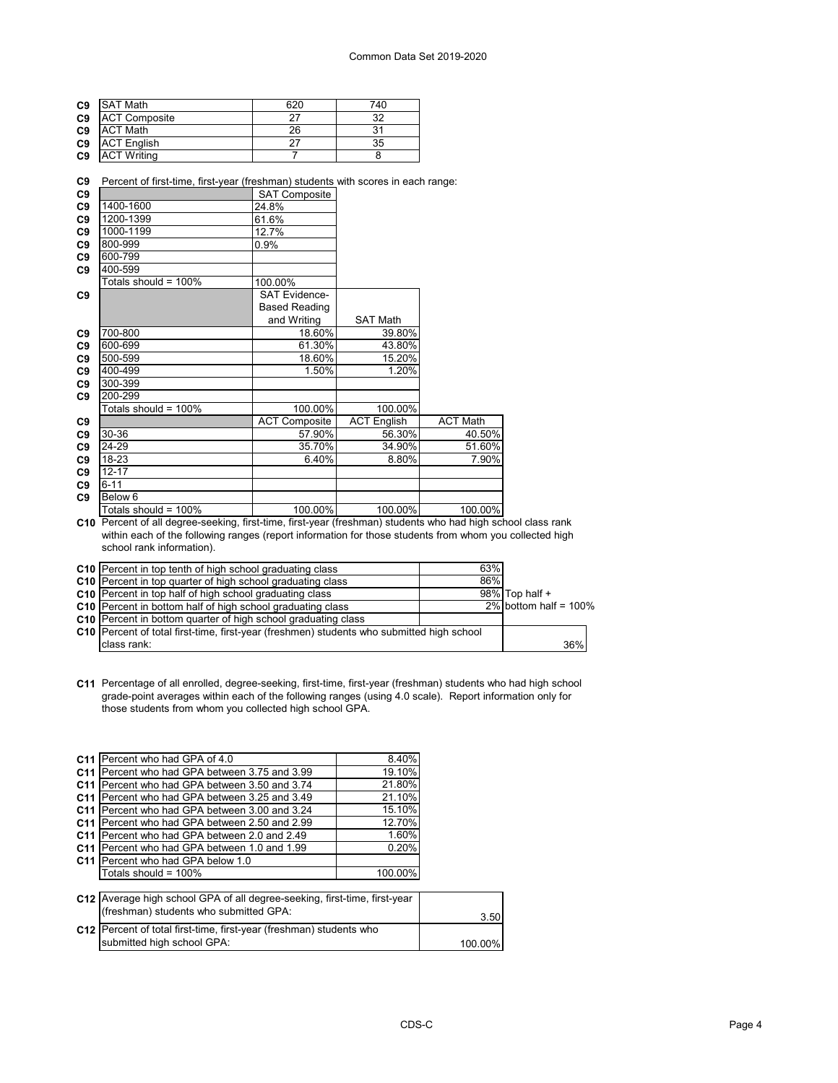| <b>SAT Math</b>      | 620 | 740 |
|----------------------|-----|-----|
| <b>ACT Composite</b> | -27 | 32  |
| <b>ACT Math</b>      | 26  | 31  |
| <b>ACT English</b>   | 27  | 35  |
| <b>ACT Writing</b>   |     |     |
|                      |     |     |

**C9** Percent of first-time, first-year (freshman) students with scores in each range:

| C <sub>9</sub> |                         | <b>SAT Composite</b> |                    |                 |
|----------------|-------------------------|----------------------|--------------------|-----------------|
| C <sub>9</sub> | 1400-1600               | 24.8%                |                    |                 |
| C <sub>9</sub> | 1200-1399               | 61.6%                |                    |                 |
| C <sub>9</sub> | 1000-1199               | 12.7%                |                    |                 |
| C <sub>9</sub> | 800-999                 | $0.9\%$              |                    |                 |
| C <sub>9</sub> | 600-799                 |                      |                    |                 |
| C <sub>9</sub> | 400-599                 |                      |                    |                 |
|                | Totals should = 100%    | 100.00%              |                    |                 |
| C9             |                         | <b>SAT Evidence-</b> |                    |                 |
|                |                         | <b>Based Reading</b> |                    |                 |
|                |                         | and Writing          | <b>SAT Math</b>    |                 |
| C <sub>9</sub> | 700-800                 | 18.60%               | 39.80%             |                 |
| C <sub>9</sub> | 600-699                 | 61.30%               | 43.80%             |                 |
| C <sub>9</sub> | 500-599                 | 18.60%               | 15.20%             |                 |
| C <sub>9</sub> | 400-499                 | 1.50%                | 1.20%              |                 |
| C <sub>9</sub> | 300-399                 |                      |                    |                 |
| C9             | 200-299                 |                      |                    |                 |
|                | Totals should = $100\%$ | 100.00%              | 100.00%            |                 |
| C <sub>9</sub> |                         | <b>ACT Composite</b> | <b>ACT English</b> | <b>ACT Math</b> |
| C <sub>9</sub> | 30-36                   | 57.90%               | 56.30%             | 40.50%          |
| C <sub>9</sub> | 24-29                   | 35.70%               | 34.90%             | 51.60%          |
| C <sub>9</sub> | 18-23                   | 6.40%                | 8.80%              | 7.90%           |
| C <sub>9</sub> | $12 - 17$               |                      |                    |                 |
| C9             | $6 - 11$                |                      |                    |                 |
| C <sub>9</sub> | Below <sub>6</sub>      |                      |                    |                 |
|                | Totals should = $100\%$ | 100.00%              | 100.00%            | 100.00%         |

**C10** Percent of all degree-seeking, first-time, first-year (freshman) students who had high school class rank within each of the following ranges (report information for those students from whom you collected high school rank information).

| <b>C10</b> Percent in top tenth of high school graduating class                           | 63% |                          |
|-------------------------------------------------------------------------------------------|-----|--------------------------|
| C10 Percent in top quarter of high school graduating class                                | 86% |                          |
| C10 Percent in top half of high school graduating class                                   |     | 98% Top half +           |
| C10 Percent in bottom half of high school graduating class                                |     | $2\%$ bottom half = 100% |
| <b>C10</b> Percent in bottom quarter of high school graduating class                      |     |                          |
| C10 Percent of total first-time, first-year (freshmen) students who submitted high school |     |                          |
| class rank:                                                                               |     | 36%                      |

**C11** Percentage of all enrolled, degree-seeking, first-time, first-year (freshman) students who had high school grade-point averages within each of the following ranges (using 4.0 scale). Report information only for those students from whom you collected high school GPA.

| C11 Percent who had GPA of 4.0                                            | 8.40%   |         |
|---------------------------------------------------------------------------|---------|---------|
| C11   Percent who had GPA between 3.75 and 3.99                           | 19.10%  |         |
| <b>C11</b> Percent who had GPA between 3.50 and 3.74                      | 21.80%  |         |
| C <sub>11</sub> Percent who had GPA between 3.25 and 3.49                 | 21.10%  |         |
| <b>C11</b> Percent who had GPA between 3.00 and 3.24                      | 15.10%  |         |
| <b>C11</b> Percent who had GPA between 2.50 and 2.99                      | 12.70%  |         |
| C <sub>11</sub> Percent who had GPA between 2.0 and 2.49                  | 1.60%   |         |
| C <sub>11</sub> Percent who had GPA between 1.0 and 1.99                  | 0.20%   |         |
| <b>C11</b> Percent who had GPA below 1.0                                  |         |         |
| Totals should = $100\%$                                                   | 100.00% |         |
|                                                                           |         |         |
| C12 Average high school GPA of all degree-seeking, first-time, first-year |         |         |
| (freshman) students who submitted GPA:                                    |         | 3.50    |
| C12   Percent of total first-time, first-year (freshman) students who     |         |         |
| submitted high school GPA:                                                |         | 100.00% |
|                                                                           |         |         |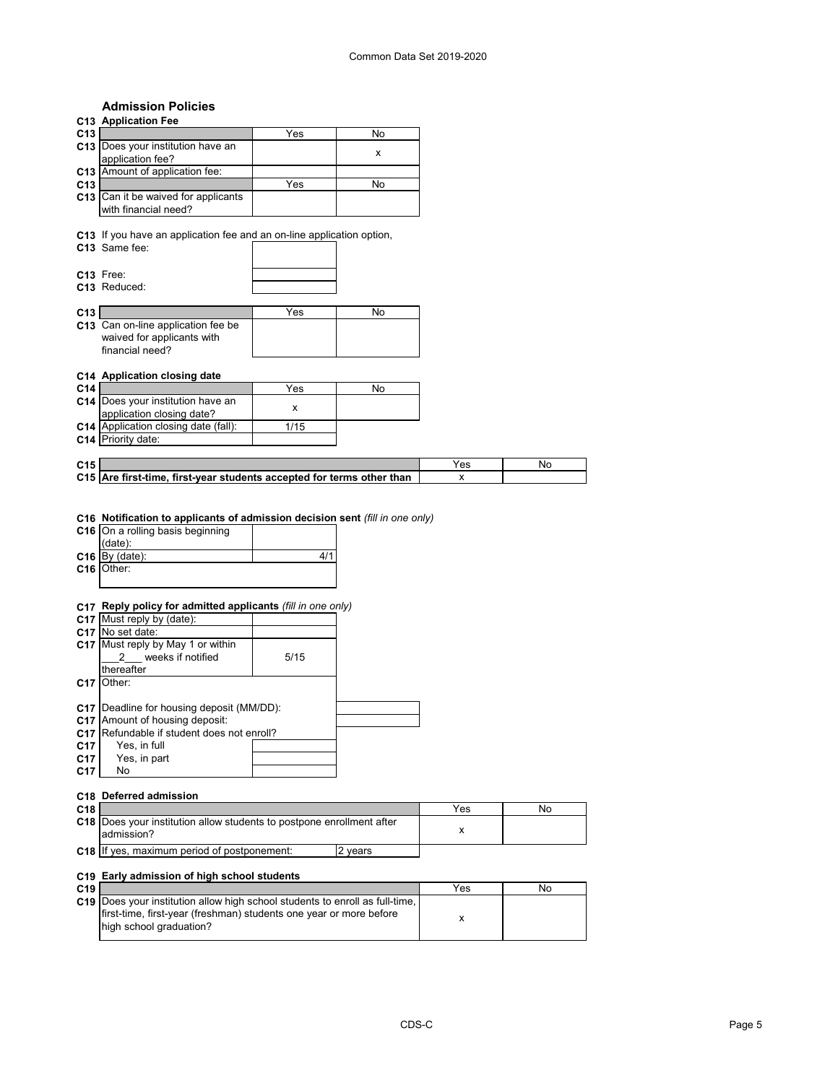# **Admission Policies**

# **C13 Application Fee C13** <u>No. 2008 No. 2013</u> **C13** Does your institution have an application fee? <br>x **C13** Amount of application fee: **C13** <u>No. 2008 No. 2013</u> **C13** Can it be waived for applicants with financial need? **C13** If you have an application fee and an on-line application option, **C13** Same fee: **C13** Free: **C13** Reduced: **C13** No. 2013 No. 2013 No. 2014 No. 2014 No. 2014 No. 2014 No. 2014 No. 2014 No. 2014 No. 2014 No. 2014 No. 20 **C13** Can on-line application fee be waived for applicants with financial need? **C14 Application closing date C14** <u>No. 2008</u> No. 2014 No. 2014 No. 2014 No. 2016 No. 2016 No. 2016 No. 2016 No. 2016 No. 2016 No. 2016 No. 20 **C14** Does your institution have an application closing date? <sup>x</sup> **C14** Application closing date (fall): **C14** Priority date: **C15** Yes No **C15** Are first-time, first-year students accepted for terms other than  $\vert$  x **C16 Notification to applicants of admission decision sent** *(fill in one only)* **C16** On a rolling basis beginning (date): **C16** By (date): 4/1 **C16** Other: **C17 Reply policy for admitted applicants** *(fill in one only)* **C17** Must reply by (date): **C17** No set date: **C17** Must reply by May 1 or within \_\_\_2\_\_\_ weeks if notified thereafter 5/15 **C17** Other: **C17** Deadline for housing deposit (MM/DD): **C17** Amount of housing deposit: **C17** Refundable if student does not enroll? **C17** Yes, in full<br>**C17** Yes, in par Yes, in part<br>No **C17** No **C18 Deferred admission C18** Yes No **C18** |Does your institution allow students to postpone enrollment after |<br>x **C18** If yes, maximum period of postponement: 2 years admission?

### **C19 Early admission of high school students**

| C19 |                                                                              | Yes | No |
|-----|------------------------------------------------------------------------------|-----|----|
|     | C19 Does your institution allow high school students to enroll as full-time. |     |    |
|     | first-time, first-year (freshman) students one year or more before           |     |    |
|     | high school graduation?                                                      |     |    |
|     |                                                                              |     |    |